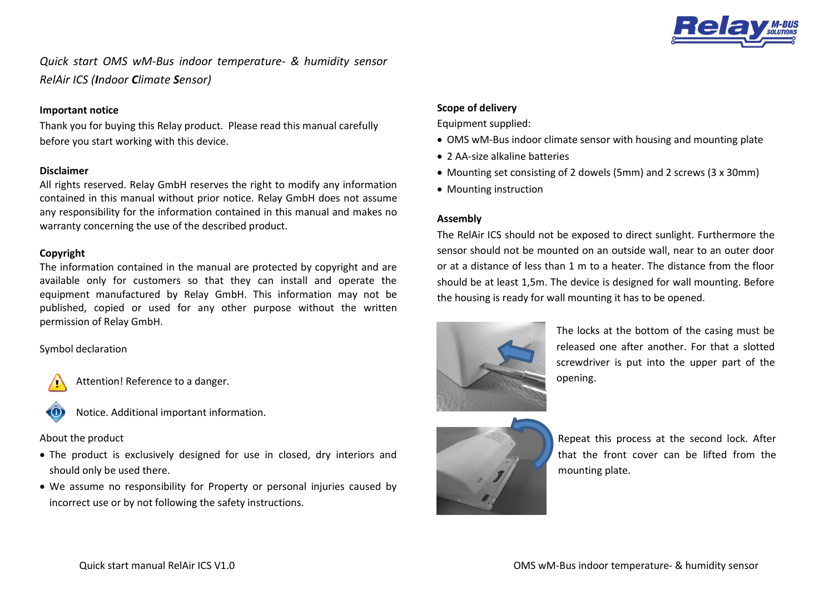

*Quick start OMS wM-Bus indoor temperature- & humidity sensor RelAir ICS (Indoor Climate Sensor)*

#### **Important notice**

Thank you for buying this Relay product. Please read this manual carefully before you start working with this device.

### **Disclaimer**

All rights reserved. Relay GmbH reserves the right to modify any information contained in this manual without prior notice. Relay GmbH does not assume any responsibility for the information contained in this manual and makes no warranty concerning the use of the described product.

#### **Copyright**

The information contained in the manual are protected by copyright and are available only for customers so that they can install and operate the equipment manufactured by Relay GmbH. This information may not be published, copied or used for any other purpose without the written permission of Relay GmbH.

Symbol declaration



A Attention! Reference to a danger.



Notice. Additional important information.

About the product

- The product is exclusively designed for use in closed, dry interiors and should only be used there.
- We assume no responsibility for Property or personal injuries caused by incorrect use or by not following the safety instructions.

## **Scope of delivery**

Equipment supplied:

- OMS wM-Bus indoor climate sensor with housing and mounting plate
- 2 AA-size alkaline batteries
- Mounting set consisting of 2 dowels (5mm) and 2 screws (3 x 30mm)
- Mounting instruction

## **Assembly**

The RelAir ICS should not be exposed to direct sunlight. Furthermore the sensor should not be mounted on an outside wall, near to an outer door or at a distance of less than 1 m to a heater. The distance from the floor should be at least 1,5m. The device is designed for wall mounting. Before the housing is ready for wall mounting it has to be opened.



The locks at the bottom of the casing must be released one after another. For that a slotted screwdriver is put into the upper part of the opening.



Repeat this process at the second lock. After that the front cover can be lifted from the mounting plate.